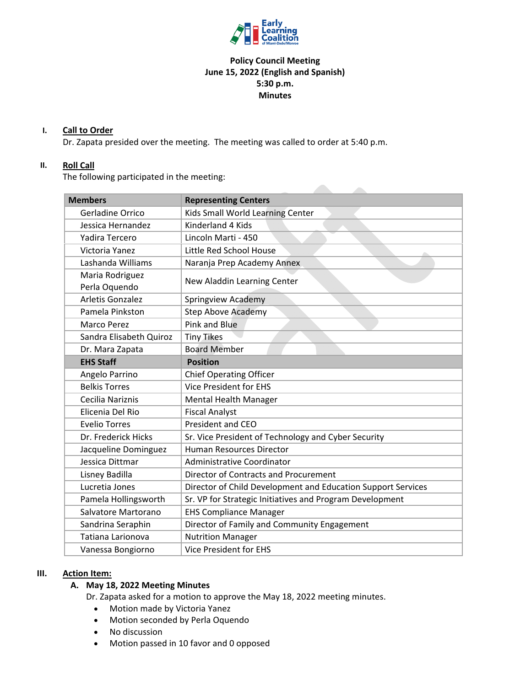

# **Policy Council Meeting June 15, 2022 (English and Spanish) 5:30 p.m. Minutes**

**Allen** 

#### **I. Call to Order**

Dr. Zapata presided over the meeting. The meeting was called to order at 5:40 p.m.

#### **II. Roll Call**

The following participated in the meeting:

| <b>Members</b>          | <b>Representing Centers</b>                                  |
|-------------------------|--------------------------------------------------------------|
| Gerladine Orrico        | Kids Small World Learning Center                             |
| Jessica Hernandez       | Kinderland 4 Kids                                            |
| Yadira Tercero          | Lincoln Marti - 450                                          |
| Victoria Yanez          | Little Red School House                                      |
| Lashanda Williams       | Naranja Prep Academy Annex                                   |
| Maria Rodriguez         | New Aladdin Learning Center                                  |
| Perla Oquendo           |                                                              |
| <b>Arletis Gonzalez</b> | Springview Academy                                           |
| Pamela Pinkston         | <b>Step Above Academy</b>                                    |
| Marco Perez             | Pink and Blue                                                |
| Sandra Elisabeth Quiroz | <b>Tiny Tikes</b>                                            |
| Dr. Mara Zapata         | <b>Board Member</b>                                          |
| <b>EHS Staff</b>        | <b>Position</b>                                              |
| Angelo Parrino          | <b>Chief Operating Officer</b>                               |
| <b>Belkis Torres</b>    | <b>Vice President for EHS</b>                                |
| Cecilia Nariznis        | <b>Mental Health Manager</b>                                 |
| Elicenia Del Rio        | <b>Fiscal Analyst</b>                                        |
| <b>Evelio Torres</b>    | <b>President and CEO</b>                                     |
| Dr. Frederick Hicks     | Sr. Vice President of Technology and Cyber Security          |
| Jacqueline Dominguez    | <b>Human Resources Director</b>                              |
| Jessica Dittmar         | <b>Administrative Coordinator</b>                            |
| Lisney Badilla          | Director of Contracts and Procurement                        |
| Lucretia Jones          | Director of Child Development and Education Support Services |
| Pamela Hollingsworth    | Sr. VP for Strategic Initiatives and Program Development     |
| Salvatore Martorano     | <b>EHS Compliance Manager</b>                                |
| Sandrina Seraphin       | Director of Family and Community Engagement                  |
| Tatiana Larionova       | <b>Nutrition Manager</b>                                     |
| Vanessa Bongiorno       | <b>Vice President for EHS</b>                                |

#### **III. Action Item:**

### **A. May 18, 2022 Meeting Minutes**

Dr. Zapata asked for a motion to approve the May 18, 2022 meeting minutes.

- Motion made by Victoria Yanez
- Motion seconded by Perla Oquendo
- No discussion
- Motion passed in 10 favor and 0 opposed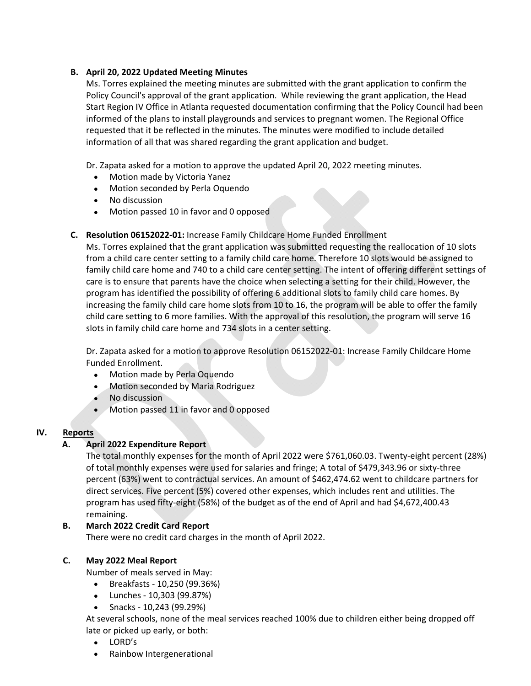# **B. April 20, 2022 Updated Meeting Minutes**

Ms. Torres explained the meeting minutes are submitted with the grant application to confirm the Policy Council's approval of the grant application. While reviewing the grant application, the Head Start Region IV Office in Atlanta requested documentation confirming that the Policy Council had been informed of the plans to install playgrounds and services to pregnant women. The Regional Office requested that it be reflected in the minutes. The minutes were modified to include detailed information of all that was shared regarding the grant application and budget.

Dr. Zapata asked for a motion to approve the updated April 20, 2022 meeting minutes.

- Motion made by Victoria Yanez
- Motion seconded by Perla Oquendo
- No discussion
- Motion passed 10 in favor and 0 opposed
- **C. Resolution 06152022‐01:** Increase Family Childcare Home Funded Enrollment

Ms. Torres explained that the grant application was submitted requesting the reallocation of 10 slots from a child care center setting to a family child care home. Therefore 10 slots would be assigned to family child care home and 740 to a child care center setting. The intent of offering different settings of care is to ensure that parents have the choice when selecting a setting for their child. However, the program has identified the possibility of offering 6 additional slots to family child care homes. By increasing the family child care home slots from 10 to 16, the program will be able to offer the family child care setting to 6 more families. With the approval of this resolution, the program will serve 16 slots in family child care home and 734 slots in a center setting.

Dr. Zapata asked for a motion to approve Resolution 06152022‐01: Increase Family Childcare Home Funded Enrollment.

- Motion made by Perla Oquendo
- Motion seconded by Maria Rodriguez
- No discussion
- Motion passed 11 in favor and 0 opposed

#### **IV. Reports**

# **A. April 2022 Expenditure Report**

The total monthly expenses for the month of April 2022 were \$761,060.03. Twenty‐eight percent (28%) of total monthly expenses were used for salaries and fringe; A total of \$479,343.96 or sixty‐three percent (63%) went to contractual services. An amount of \$462,474.62 went to childcare partners for direct services. Five percent (5%) covered other expenses, which includes rent and utilities. The program has used fifty‐eight (58%) of the budget as of the end of April and had \$4,672,400.43 remaining.

# **B. March 2022 Credit Card Report**

There were no credit card charges in the month of April 2022.

# **C. May 2022 Meal Report**

Number of meals served in May:

- Breakfasts ‐ 10,250 (99.36%)
- Lunches ‐ 10,303 (99.87%)
- Snacks ‐ 10,243 (99.29%)

At several schools, none of the meal services reached 100% due to children either being dropped off late or picked up early, or both:

- LORD's
- Rainbow Intergenerational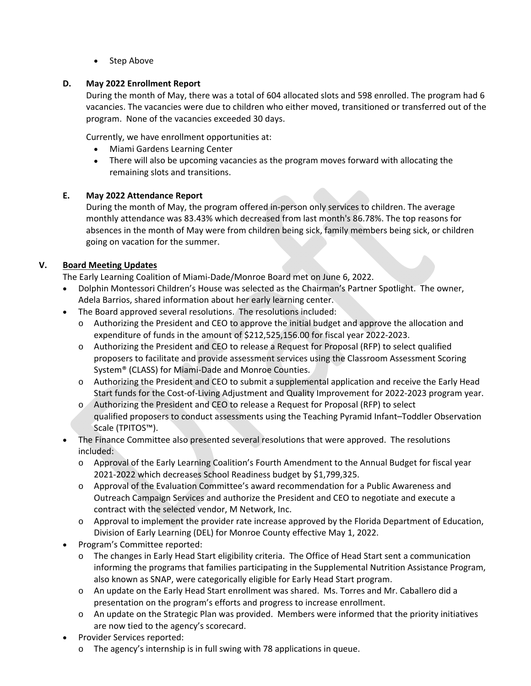• Step Above

# **D. May 2022 Enrollment Report**

During the month of May, there was a total of 604 allocated slots and 598 enrolled. The program had 6 vacancies. The vacancies were due to children who either moved, transitioned or transferred out of the program. None of the vacancies exceeded 30 days.

Currently, we have enrollment opportunities at:

- Miami Gardens Learning Center
- There will also be upcoming vacancies as the program moves forward with allocating the remaining slots and transitions.

### **E. May 2022 Attendance Report**

During the month of May, the program offered in‐person only services to children. The average monthly attendance was 83.43% which decreased from last month's 86.78%. The top reasons for absences in the month of May were from children being sick, family members being sick, or children going on vacation for the summer.

### **V. Board Meeting Updates**

The Early Learning Coalition of Miami‐Dade/Monroe Board met on June 6, 2022.

- Dolphin Montessori Children's House was selected as the Chairman's Partner Spotlight. The owner, Adela Barrios, shared information about her early learning center.
- The Board approved several resolutions. The resolutions included:
	- o Authorizing the President and CEO to approve the initial budget and approve the allocation and expenditure of funds in the amount of \$212,525,156.00 for fiscal year 2022‐2023.
	- o Authorizing the President and CEO to release a Request for Proposal (RFP) to select qualified proposers to facilitate and provide assessment services using the Classroom Assessment Scoring System® (CLASS) for Miami‐Dade and Monroe Counties.
	- o Authorizing the President and CEO to submit a supplemental application and receive the Early Head Start funds for the Cost‐of‐Living Adjustment and Quality Improvement for 2022‐2023 program year.
	- o Authorizing the President and CEO to release a Request for Proposal (RFP) to select qualified proposers to conduct assessments using the Teaching Pyramid Infant–Toddler Observation Scale (TPITOS™).
- The Finance Committee also presented several resolutions that were approved. The resolutions included:
	- o Approval of the Early Learning Coalition's Fourth Amendment to the Annual Budget for fiscal year 2021‐2022 which decreases School Readiness budget by \$1,799,325.
	- o Approval of the Evaluation Committee's award recommendation for a Public Awareness and Outreach Campaign Services and authorize the President and CEO to negotiate and execute a contract with the selected vendor, M Network, Inc.
	- $\circ$  Approval to implement the provider rate increase approved by the Florida Department of Education, Division of Early Learning (DEL) for Monroe County effective May 1, 2022.
- Program's Committee reported:
	- o The changes in Early Head Start eligibility criteria. The Office of Head Start sent a communication informing the programs that families participating in the Supplemental Nutrition Assistance Program, also known as SNAP, were categorically eligible for Early Head Start program.
	- o An update on the Early Head Start enrollment was shared. Ms. Torres and Mr. Caballero did a presentation on the program's efforts and progress to increase enrollment.
	- o An update on the Strategic Plan was provided. Members were informed that the priority initiatives are now tied to the agency's scorecard.
- Provider Services reported:
	- $\circ$  The agency's internship is in full swing with 78 applications in queue.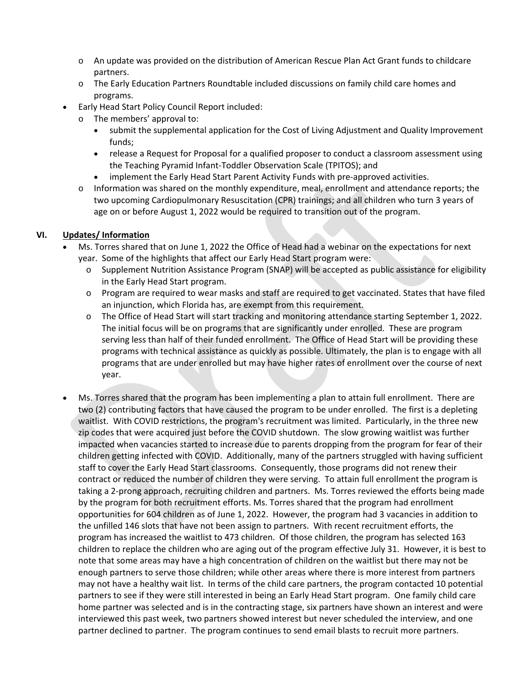- o An update was provided on the distribution of American Rescue Plan Act Grant funds to childcare partners.
- o The Early Education Partners Roundtable included discussions on family child care homes and programs.
- Early Head Start Policy Council Report included:
	- o The members' approval to:
		- submit the supplemental application for the Cost of Living Adjustment and Quality Improvement funds;
		- release a Request for Proposal for a qualified proposer to conduct a classroom assessment using the Teaching Pyramid Infant‐Toddler Observation Scale (TPITOS); and
		- implement the Early Head Start Parent Activity Funds with pre-approved activities.
	- $\circ$  Information was shared on the monthly expenditure, meal, enrollment and attendance reports; the two upcoming Cardiopulmonary Resuscitation (CPR) trainings; and all children who turn 3 years of age on or before August 1, 2022 would be required to transition out of the program.

# **VI. Updates/ Information**

- Ms. Torres shared that on June 1, 2022 the Office of Head had a webinar on the expectations for next year. Some of the highlights that affect our Early Head Start program were:
	- o Supplement Nutrition Assistance Program (SNAP) will be accepted as public assistance for eligibility in the Early Head Start program.
	- o Program are required to wear masks and staff are required to get vaccinated. States that have filed an injunction, which Florida has, are exempt from this requirement.
	- o The Office of Head Start will start tracking and monitoring attendance starting September 1, 2022. The initial focus will be on programs that are significantly under enrolled. These are program serving less than half of their funded enrollment. The Office of Head Start will be providing these programs with technical assistance as quickly as possible. Ultimately, the plan is to engage with all programs that are under enrolled but may have higher rates of enrollment over the course of next year.
- Ms. Torres shared that the program has been implementing a plan to attain full enrollment. There are two (2) contributing factors that have caused the program to be under enrolled. The first is a depleting waitlist. With COVID restrictions, the program's recruitment was limited. Particularly, in the three new zip codes that were acquired just before the COVID shutdown. The slow growing waitlist was further impacted when vacancies started to increase due to parents dropping from the program for fear of their children getting infected with COVID. Additionally, many of the partners struggled with having sufficient staff to cover the Early Head Start classrooms. Consequently, those programs did not renew their contract or reduced the number of children they were serving. To attain full enrollment the program is taking a 2‐prong approach, recruiting children and partners. Ms. Torres reviewed the efforts being made by the program for both recruitment efforts. Ms. Torres shared that the program had enrollment opportunities for 604 children as of June 1, 2022. However, the program had 3 vacancies in addition to the unfilled 146 slots that have not been assign to partners. With recent recruitment efforts, the program has increased the waitlist to 473 children. Of those children, the program has selected 163 children to replace the children who are aging out of the program effective July 31. However, it is best to note that some areas may have a high concentration of children on the waitlist but there may not be enough partners to serve those children; while other areas where there is more interest from partners may not have a healthy wait list. In terms of the child care partners, the program contacted 10 potential partners to see if they were still interested in being an Early Head Start program. One family child care home partner was selected and is in the contracting stage, six partners have shown an interest and were interviewed this past week, two partners showed interest but never scheduled the interview, and one partner declined to partner. The program continues to send email blasts to recruit more partners.